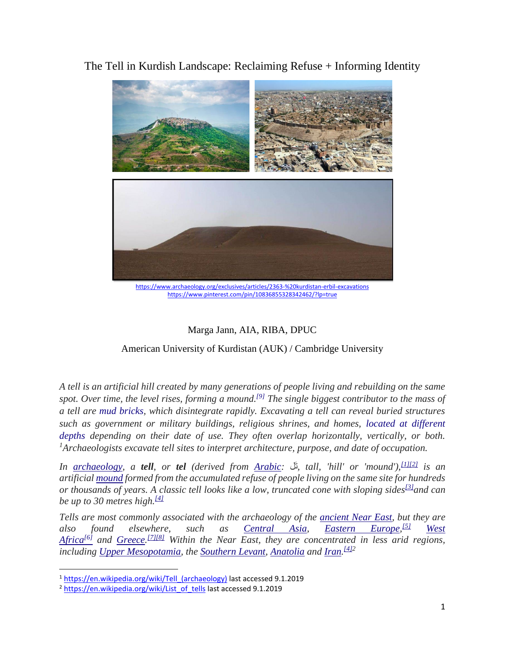The Tell in Kurdish Landscape: Reclaiming Refuse + Informing Identity



<https://www.archaeology.org/exclusives/articles/2363-%20kurdistan-erbil-excavations> <https://www.pinterest.com/pin/10836855328342462/?lp=true>

## Marga Jann, AIA, RIBA, DPUC

American University of Kurdistan (AUK) / Cambridge University

*A tell is an artificial hill created by many generations of people living and rebuilding on the same spot. Over time, the level rises, forming a mound.[\[9\]](https://en.wikipedia.org/wiki/Tell_(archaeology)#cite_note-9) The single biggest contributor to the mass of a tell are [mud bricks,](https://en.wikipedia.org/wiki/Mud_brick) which disintegrate rapidly. Excavating a tell can reveal buried structures such as government or military buildings, religious shrines, and homes, [located at different](https://en.wikipedia.org/wiki/Stratigraphy_(archaeology))  [depths](https://en.wikipedia.org/wiki/Stratigraphy_(archaeology)) depending on their date of use. They often overlap horizontally, vertically, or both. <sup>1</sup>Archaeologists excavate tell sites to interpret architecture, purpose, and date of occupation.*

*In [archaeology,](https://en.wikipedia.org/wiki/Archaeology) a tell, or tel (derived from [Arabic:](https://en.wikipedia.org/wiki/Arabic_language)* لَت*, tall, 'hill' or 'mound'),[\[1\]\[2\]](https://en.wikipedia.org/wiki/List_of_tells#cite_note-1) is an artificial [mound](https://en.wikipedia.org/wiki/Mound) formed from the accumulated refuse of people living on the same site for hundreds or thousands of years. A classic tell looks like a low, truncated cone with sloping sides[\[3\]](https://en.wikipedia.org/wiki/List_of_tells#cite_note-albright-3)and can be up to 30 metres high.[\[4\]](https://en.wikipedia.org/wiki/List_of_tells#cite_note-Wilkinson_2003-4)*

*Tells are most commonly associated with the archaeology of the [ancient Near East,](https://en.wikipedia.org/wiki/Ancient_Near_East) but they are also found elsewhere, such as [Central Asia,](https://en.wikipedia.org/wiki/Central_Asia) [Eastern Europe,](https://en.wikipedia.org/wiki/Eastern_Europe)*  $West$ *[Africa](https://en.wikipedia.org/wiki/West_Africa)[\[6\]](https://en.wikipedia.org/wiki/List_of_tells#cite_note-6) and [Greece.](https://en.wikipedia.org/wiki/Greece) [\[7\]\[8\]](https://en.wikipedia.org/wiki/List_of_tells#cite_note-7) Within the Near East, they are concentrated in less arid regions, including [Upper Mesopotamia,](https://en.wikipedia.org/wiki/Upper_Mesopotamia) the [Southern Levant,](https://en.wikipedia.org/wiki/Southern_Levant) [Anatolia](https://en.wikipedia.org/wiki/Anatolia) and [Iran.](https://en.wikipedia.org/wiki/Iran) [\[4\]2](https://en.wikipedia.org/wiki/List_of_tells#cite_note-Wilkinson_2003-4)*

<sup>&</sup>lt;sup>1</sup> https://en.wikipedia.org/wiki/Tell (archaeology) last accessed 9.1.2019

<sup>&</sup>lt;sup>2</sup> [https://en.wikipedia.org/wiki/List\\_of\\_tells](https://en.wikipedia.org/wiki/List_of_tells) last accessed 9.1.2019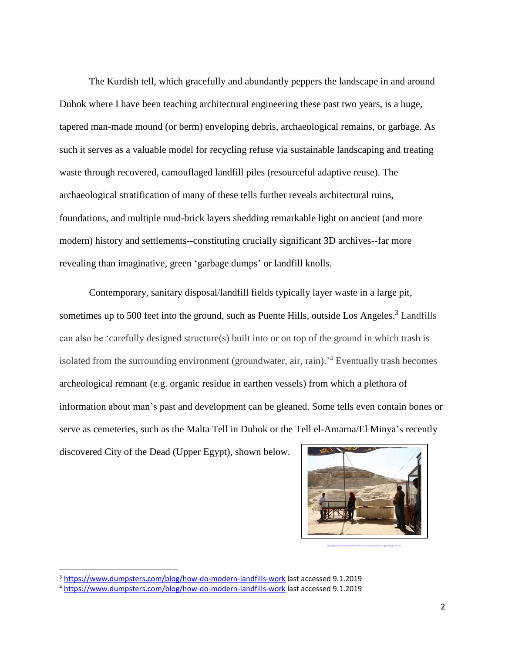The Kurdish tell, which gracefully and abundantly peppers the landscape in and around Duhok where I have been teaching architectural engineering these past two years, is a huge, tapered man-made mound (or berm) enveloping debris, archaeological remains, or garbage. As such it serves as a valuable model for recycling refuse via sustainable landscaping and treating waste through recovered, camouflaged landfill piles (resourceful adaptive reuse). The archaeological stratification of many of these tells further reveals architectural ruins, foundations, and multiple mud-brick layers shedding remarkable light on ancient (and more modern) history and settlements--constituting crucially significant 3D archives--far more revealing than imaginative, green 'garbage dumps' or landfill knolls.

Contemporary, sanitary disposal/landfill fields typically layer waste in a large pit, sometimes up to 500 feet into the ground, such as Puente Hills, outside Los Angeles.<sup>3</sup> Landfills can also be 'carefully designed structure(s) built into or on top of the ground in which trash is isolated from the surrounding environment (groundwater, air, rain).<sup>4</sup> Eventually trash becomes archeological remnant (e.g. organic residue in earthen vessels) from which a plethora of information about man's past and development can be gleaned. Some tells even contain bones or serve as cemeteries, such as the Malta Tell in Duhok or the Tell el-Amarna/El Minya's recently

<https://egyptianstreets.com/2018/02/25/a-2000-year-old-cemetery-unearthed-in-egypts-minya-governorate/>

discovered City of the Dead (Upper Egypt), shown below.



<sup>&</sup>lt;sup>3</sup> <https://www.dumpsters.com/blog/how-do-modern-landfills-work> last accessed 9.1.2019

<sup>4</sup> <https://www.dumpsters.com/blog/how-do-modern-landfills-work> last accessed 9.1.2019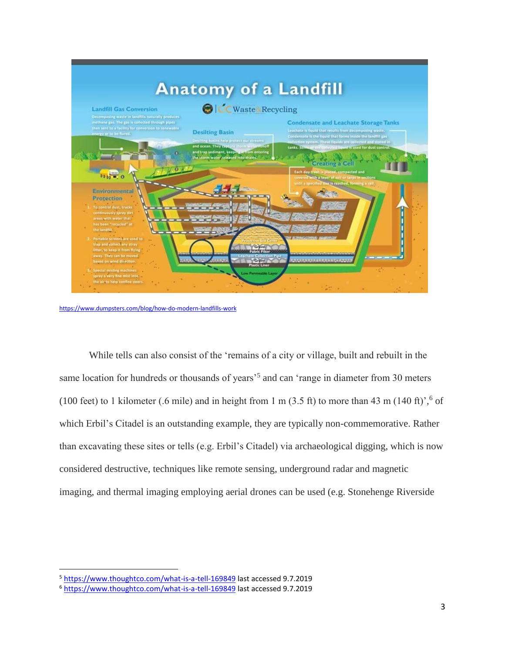

<https://www.dumpsters.com/blog/how-do-modern-landfills-work>

While tells can also consist of the 'remains of a city or village, built and rebuilt in the same location for hundreds or thousands of years<sup>55</sup> and can 'range in diameter from 30 meters (100 feet) to 1 kilometer (.6 mile) and in height from 1 m (3.5 ft) to more than 43 m (140 ft)',<sup>6</sup> of which Erbil's Citadel is an outstanding example, they are typically non-commemorative. Rather than excavating these sites or tells (e.g. Erbil's Citadel) via archaeological digging, which is now considered destructive, techniques like remote sensing, underground radar and magnetic imaging, and thermal imaging employing aerial drones can be used (e.g. Stonehenge Riverside

<sup>5</sup> <https://www.thoughtco.com/what-is-a-tell-169849> last accessed 9.7.2019

<sup>6</sup> <https://www.thoughtco.com/what-is-a-tell-169849> last accessed 9.7.2019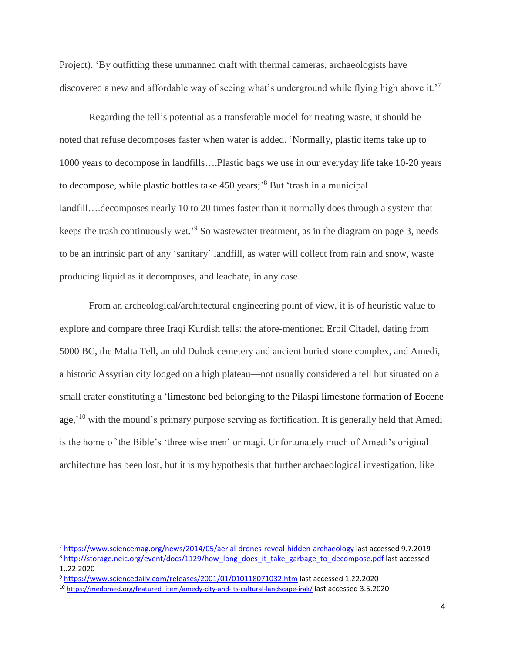Project). 'By outfitting these unmanned craft with thermal cameras, archaeologists have discovered a new and affordable way of seeing what's underground while flying high above it.'<sup>7</sup>

Regarding the tell's potential as a transferable model for treating waste, it should be noted that refuse decomposes faster when water is added. 'Normally, plastic items take up to 1000 years to decompose in landfills….Plastic bags we use in our everyday life take 10-20 years to decompose, while plastic bottles take 450 years;' <sup>8</sup> But 'trash in a municipal landfill....decomposes nearly 10 to 20 times faster than it normally does through a system that keeps the trash continuously wet.<sup>'9</sup> So wastewater treatment, as in the diagram on page 3, needs to be an intrinsic part of any 'sanitary' landfill, as water will collect from rain and snow, waste producing liquid as it decomposes, and leachate, in any case.

From an archeological/architectural engineering point of view, it is of heuristic value to explore and compare three Iraqi Kurdish tells: the afore-mentioned Erbil Citadel, dating from 5000 BC, the Malta Tell, an old Duhok cemetery and ancient buried stone complex, and Amedi, a historic Assyrian city lodged on a high plateau—not usually considered a tell but situated on a small crater constituting a 'limestone bed belonging to the Pilaspi limestone formation of Eocene age,<sup>'10</sup> with the mound's primary purpose serving as fortification. It is generally held that Amedi is the home of the Bible's 'three wise men' or magi. Unfortunately much of Amedi's original architecture has been lost, but it is my hypothesis that further archaeological investigation, like

<sup>7</sup> <https://www.sciencemag.org/news/2014/05/aerial-drones-reveal-hidden-archaeology> last accessed 9.7.2019

<sup>&</sup>lt;sup>8</sup> [http://storage.neic.org/event/docs/1129/how\\_long\\_does\\_it\\_take\\_garbage\\_to\\_decompose.pdf](http://storage.neic.org/event/docs/1129/how_long_does_it_take_garbage_to_decompose.pdf) last accessed 1..22.2020

<sup>9</sup> <https://www.sciencedaily.com/releases/2001/01/010118071032.htm> last accessed 1.22.2020

<sup>&</sup>lt;sup>10</sup> [https://medomed.org/featured\\_item/amedy-city-and-its-cultural-landscape-irak/](https://medomed.org/featured_item/amedy-city-and-its-cultural-landscape-irak/) last accessed 3.5.2020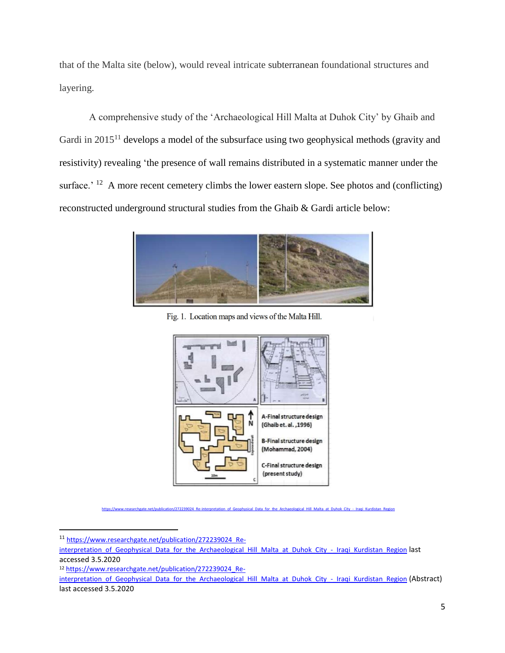that of the Malta site (below), would reveal intricate subterranean foundational structures and layering.

A comprehensive study of the 'Archaeological Hill Malta at Duhok City' by Ghaib and Gardi in 2015<sup>11</sup> develops a model of the subsurface using two geophysical methods (gravity and resistivity) revealing 'the presence of wall remains distributed in a systematic manner under the surface.' <sup>12</sup> A more recent cemetery climbs the lower eastern slope. See photos and (conflicting) reconstructed underground structural studies from the Ghaib & Gardi article below:



Fig. 1. Location maps and views of the Malta Hill.



[https://www.researchgate.net/publication/272239024\\_Re-interpretation\\_of\\_Geophysical\\_Data\\_for\\_the\\_Archaeological\\_Hill\\_Malta\\_at\\_Duhok\\_City\\_-\\_Iraqi\\_Kurdistan\\_Region](https://www.researchgate.net/publication/272239024_Re-interpretation_of_Geophysical_Data_for_the_Archaeological_Hill_Malta_at_Duhok_City_-_Iraqi_Kurdistan_Region)

<sup>11</sup> [https://www.researchgate.net/publication/272239024\\_Re-](https://www.researchgate.net/publication/272239024_Re-interpretation_of_Geophysical_Data_for_the_Archaeological_Hill_Malta_at_Duhok_City_-_Iraqi_Kurdistan_Region)

interpretation of Geophysical Data for the Archaeological Hill Malta at Duhok City - Iraqi Kurdistan Region last accessed 3.5.2020

<sup>12</sup> [https://www.researchgate.net/publication/272239024\\_Re-](https://www.researchgate.net/publication/272239024_Re-interpretation_of_Geophysical_Data_for_the_Archaeological_Hill_Malta_at_Duhok_City_-_Iraqi_Kurdistan_Region)

interpretation of Geophysical Data for the Archaeological Hill Malta at Duhok City - Iraqi Kurdistan Region (Abstract) last accessed 3.5.2020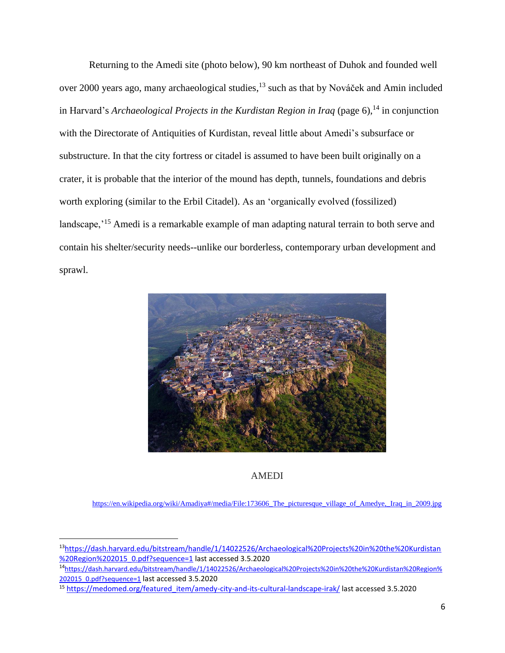Returning to the Amedi site (photo below), 90 km northeast of Duhok and founded well over 2000 years ago, many archaeological studies,<sup>13</sup> such as that by Nováček and Amin included in Harvard's *Archaeological Projects in the Kurdistan Region in Iraq* (page 6), <sup>14</sup> in conjunction with the Directorate of Antiquities of Kurdistan, reveal little about Amedi's subsurface or substructure. In that the city fortress or citadel is assumed to have been built originally on a crater, it is probable that the interior of the mound has depth, tunnels, foundations and debris worth exploring (similar to the Erbil Citadel). As an 'organically evolved (fossilized) landscape,'<sup>15</sup> Amedi is a remarkable example of man adapting natural terrain to both serve and contain his shelter/security needs--unlike our borderless, contemporary urban development and sprawl.



## AMEDI

[https://en.wikipedia.org/wiki/Amadiya#/media/File:173606\\_The\\_picturesque\\_village\\_of\\_Amedye,\\_Iraq\\_in\\_2009.jpg](https://en.wikipedia.org/wiki/Amadiya#/media/File:173606_The_picturesque_village_of_Amedye,_Iraq_in_2009.jpg)

<sup>13</sup>[https://dash.harvard.edu/bitstream/handle/1/14022526/Archaeological%20Projects%20in%20the%20Kurdistan](https://dash.harvard.edu/bitstream/handle/1/14022526/Archaeological%20Projects%20in%20the%20Kurdistan%20Region%202015_0.pdf?sequence=1) [%20Region%202015\\_0.pdf?sequence=1](https://dash.harvard.edu/bitstream/handle/1/14022526/Archaeological%20Projects%20in%20the%20Kurdistan%20Region%202015_0.pdf?sequence=1) last accessed 3.5.2020

<sup>14</sup>[https://dash.harvard.edu/bitstream/handle/1/14022526/Archaeological%20Projects%20in%20the%20Kurdistan%20Region%](https://dash.harvard.edu/bitstream/handle/1/14022526/Archaeological%20Projects%20in%20the%20Kurdistan%20Region%202015_0.pdf?sequence=1) 202015 0.pdf?sequence=1 last accessed 3.5.2020

<sup>15</sup> [https://medomed.org/featured\\_item/amedy-city-and-its-cultural-landscape-irak/](https://medomed.org/featured_item/amedy-city-and-its-cultural-landscape-irak/) last accessed 3.5.2020